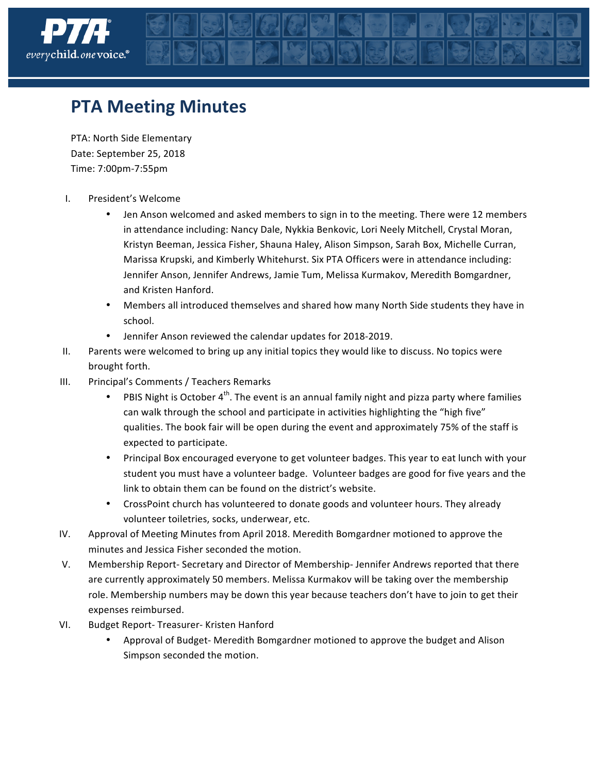

## **PTA Meeting Minutes**

PTA: North Side Elementary Date: September 25, 2018 Time: 7:00pm-7:55pm

- I. President's Welcome
	- Jen Anson welcomed and asked members to sign in to the meeting. There were 12 members in attendance including: Nancy Dale, Nykkia Benkovic, Lori Neely Mitchell, Crystal Moran, Kristyn Beeman, Jessica Fisher, Shauna Haley, Alison Simpson, Sarah Box, Michelle Curran, Marissa Krupski, and Kimberly Whitehurst. Six PTA Officers were in attendance including: Jennifer Anson, Jennifer Andrews, Jamie Tum, Melissa Kurmakov, Meredith Bomgardner, and Kristen Hanford.
	- Members all introduced themselves and shared how many North Side students they have in school.
	- Jennifer Anson reviewed the calendar updates for 2018-2019.
- II. Parents were welcomed to bring up any initial topics they would like to discuss. No topics were brought forth.
- III. Principal's Comments / Teachers Remarks
	- PBIS Night is October  $4^{th}$ . The event is an annual family night and pizza party where families can walk through the school and participate in activities highlighting the "high five" qualities. The book fair will be open during the event and approximately 75% of the staff is expected to participate.
	- Principal Box encouraged everyone to get volunteer badges. This year to eat lunch with your student you must have a volunteer badge. Volunteer badges are good for five years and the link to obtain them can be found on the district's website.
	- CrossPoint church has volunteered to donate goods and volunteer hours. They already volunteer toiletries, socks, underwear, etc.
- IV. Approval of Meeting Minutes from April 2018. Meredith Bomgardner motioned to approve the minutes and Jessica Fisher seconded the motion.
- V. Membership Report- Secretary and Director of Membership-Jennifer Andrews reported that there are currently approximately 50 members. Melissa Kurmakov will be taking over the membership role. Membership numbers may be down this year because teachers don't have to join to get their expenses reimbursed.
- VI. Budget Report- Treasurer- Kristen Hanford
	- Approval of Budget- Meredith Bomgardner motioned to approve the budget and Alison Simpson seconded the motion.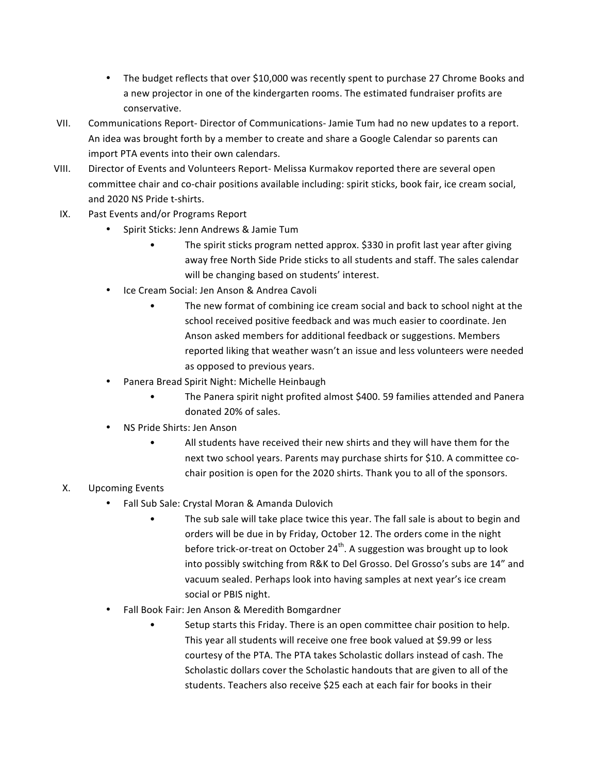- The budget reflects that over \$10,000 was recently spent to purchase 27 Chrome Books and a new projector in one of the kindergarten rooms. The estimated fundraiser profits are conservative.
- VII. Communications Report- Director of Communications- Jamie Tum had no new updates to a report. An idea was brought forth by a member to create and share a Google Calendar so parents can import PTA events into their own calendars.
- VIII. Director of Events and Volunteers Report- Melissa Kurmakov reported there are several open committee chair and co-chair positions available including: spirit sticks, book fair, ice cream social, and 2020 NS Pride t-shirts.
- IX. Past Events and/or Programs Report
	- Spirit Sticks: Jenn Andrews & Jamie Tum
		- The spirit sticks program netted approx. \$330 in profit last year after giving away free North Side Pride sticks to all students and staff. The sales calendar will be changing based on students' interest.
	- Ice Cream Social: Jen Anson & Andrea Cavoli
		- The new format of combining ice cream social and back to school night at the school received positive feedback and was much easier to coordinate. Jen Anson asked members for additional feedback or suggestions. Members reported liking that weather wasn't an issue and less volunteers were needed as opposed to previous years.
	- Panera Bread Spirit Night: Michelle Heinbaugh
		- The Panera spirit night profited almost \$400. 59 families attended and Panera donated 20% of sales.
	- NS Pride Shirts: Jen Anson
		- All students have received their new shirts and they will have them for the next two school years. Parents may purchase shirts for \$10. A committee cochair position is open for the 2020 shirts. Thank you to all of the sponsors.

## X. Upcoming Events

- Fall Sub Sale: Crystal Moran & Amanda Dulovich
	- The sub sale will take place twice this year. The fall sale is about to begin and orders will be due in by Friday, October 12. The orders come in the night before trick-or-treat on October 24<sup>th</sup>. A suggestion was brought up to look into possibly switching from R&K to Del Grosso. Del Grosso's subs are 14" and vacuum sealed. Perhaps look into having samples at next year's ice cream social or PBIS night.
- Fall Book Fair: Jen Anson & Meredith Bomgardner
	- Setup starts this Friday. There is an open committee chair position to help. This year all students will receive one free book valued at \$9.99 or less courtesy of the PTA. The PTA takes Scholastic dollars instead of cash. The Scholastic dollars cover the Scholastic handouts that are given to all of the students. Teachers also receive \$25 each at each fair for books in their